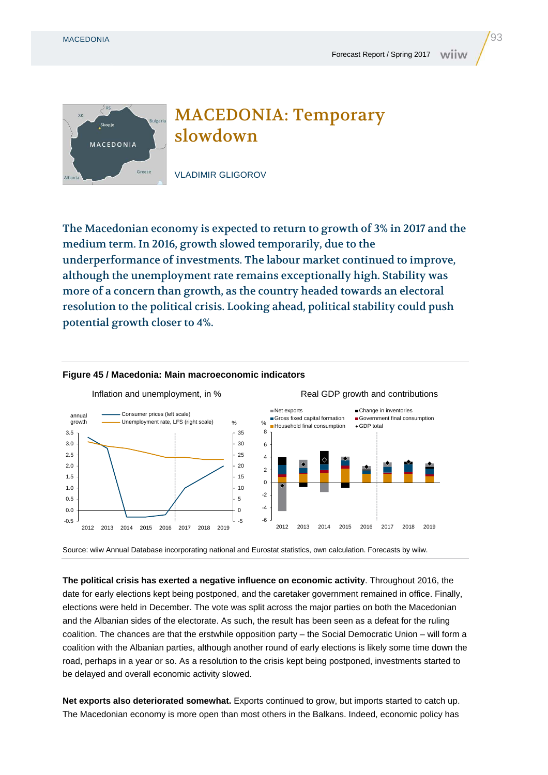



The Macedonian economy is expected to return to growth of 3% in 2017 and the medium term. In 2016, growth slowed temporarily, due to the underperformance of investments. The labour market continued to improve, although the unemployment rate remains exceptionally high. Stability was more of a concern than growth, as the country headed towards an electoral resolution to the political crisis. Looking ahead, political stability could push potential growth closer to 4%.



## **Figure 45 / Macedonia: Main macroeconomic indicators**

Source: wiiw Annual Database incorporating national and Eurostat statistics, own calculation. Forecasts by wiiw.

**The political crisis has exerted a negative influence on economic activity**. Throughout 2016, the date for early elections kept being postponed, and the caretaker government remained in office. Finally, elections were held in December. The vote was split across the major parties on both the Macedonian and the Albanian sides of the electorate. As such, the result has been seen as a defeat for the ruling coalition. The chances are that the erstwhile opposition party – the Social Democratic Union – will form a coalition with the Albanian parties, although another round of early elections is likely some time down the road, perhaps in a year or so. As a resolution to the crisis kept being postponed, investments started to be delayed and overall economic activity slowed.

**Net exports also deteriorated somewhat.** Exports continued to grow, but imports started to catch up. The Macedonian economy is more open than most others in the Balkans. Indeed, economic policy has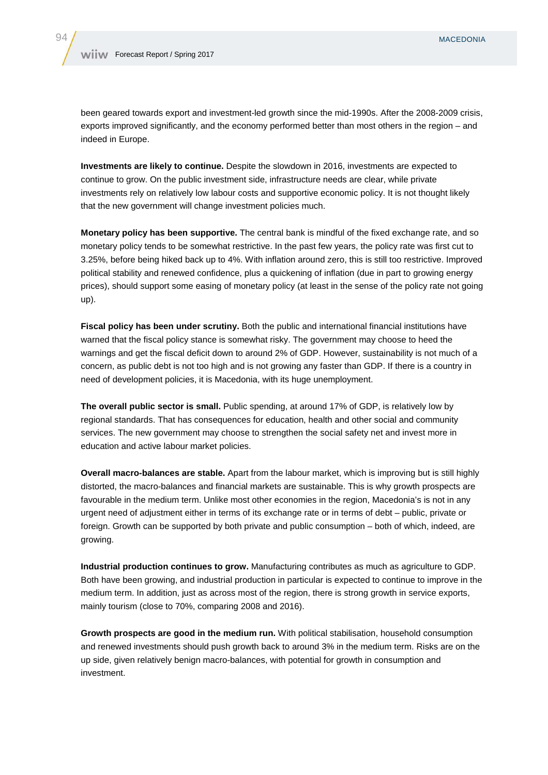been geared towards export and investment-led growth since the mid-1990s. After the 2008-2009 crisis, exports improved significantly, and the economy performed better than most others in the region – and indeed in Europe.

**Investments are likely to continue.** Despite the slowdown in 2016, investments are expected to continue to grow. On the public investment side, infrastructure needs are clear, while private investments rely on relatively low labour costs and supportive economic policy. It is not thought likely that the new government will change investment policies much.

**Monetary policy has been supportive.** The central bank is mindful of the fixed exchange rate, and so monetary policy tends to be somewhat restrictive. In the past few years, the policy rate was first cut to 3.25%, before being hiked back up to 4%. With inflation around zero, this is still too restrictive. Improved political stability and renewed confidence, plus a quickening of inflation (due in part to growing energy prices), should support some easing of monetary policy (at least in the sense of the policy rate not going up).

**Fiscal policy has been under scrutiny.** Both the public and international financial institutions have warned that the fiscal policy stance is somewhat risky. The government may choose to heed the warnings and get the fiscal deficit down to around 2% of GDP. However, sustainability is not much of a concern, as public debt is not too high and is not growing any faster than GDP. If there is a country in need of development policies, it is Macedonia, with its huge unemployment.

**The overall public sector is small.** Public spending, at around 17% of GDP, is relatively low by regional standards. That has consequences for education, health and other social and community services. The new government may choose to strengthen the social safety net and invest more in education and active labour market policies.

**Overall macro-balances are stable.** Apart from the labour market, which is improving but is still highly distorted, the macro-balances and financial markets are sustainable. This is why growth prospects are favourable in the medium term. Unlike most other economies in the region, Macedonia's is not in any urgent need of adjustment either in terms of its exchange rate or in terms of debt – public, private or foreign. Growth can be supported by both private and public consumption – both of which, indeed, are growing.

**Industrial production continues to grow.** Manufacturing contributes as much as agriculture to GDP. Both have been growing, and industrial production in particular is expected to continue to improve in the medium term. In addition, just as across most of the region, there is strong growth in service exports, mainly tourism (close to 70%, comparing 2008 and 2016).

**Growth prospects are good in the medium run.** With political stabilisation, household consumption and renewed investments should push growth back to around 3% in the medium term. Risks are on the up side, given relatively benign macro-balances, with potential for growth in consumption and investment.